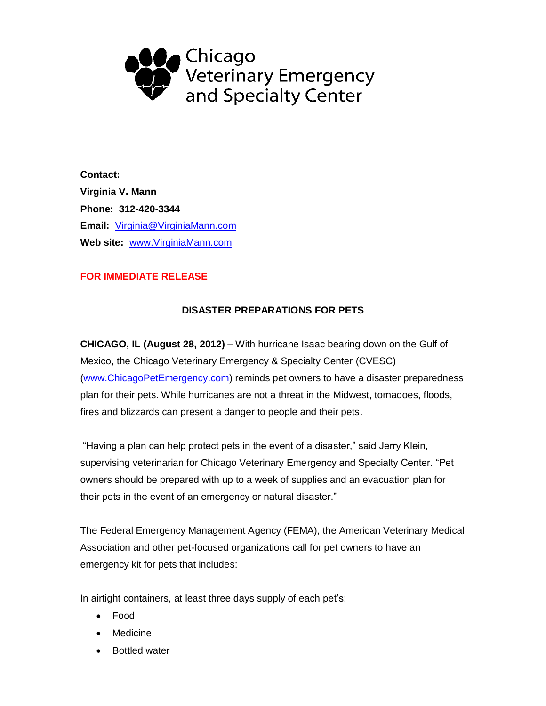

**Contact: Virginia V. Mann Phone: 312-420-3344 Email:** [Virginia@VirginiaMann.com](mailto:Virginia@VirginiaMann.com) **Web site:** [www.VirginiaMann.com](http://www.virginiamann.com/)

## **FOR IMMEDIATE RELEASE**

## **DISASTER PREPARATIONS FOR PETS**

**CHICAGO, IL (August 28, 2012) –** With hurricane Isaac bearing down on the Gulf of Mexico, the Chicago Veterinary Emergency & Specialty Center (CVESC) [\(www.ChicagoPetEmergency.com\)](http://www.chicagopetemergency.com/) reminds pet owners to have a disaster preparedness plan for their pets. While hurricanes are not a threat in the Midwest, tornadoes, floods, fires and blizzards can present a danger to people and their pets.

"Having a plan can help protect pets in the event of a disaster," said Jerry Klein, supervising veterinarian for Chicago Veterinary Emergency and Specialty Center. "Pet owners should be prepared with up to a week of supplies and an evacuation plan for their pets in the event of an emergency or natural disaster."

The Federal Emergency Management Agency (FEMA), the American Veterinary Medical Association and other pet-focused organizations call for pet owners to have an emergency kit for pets that includes:

In airtight containers, at least three days supply of each pet's:

- Food
- Medicine
- Bottled water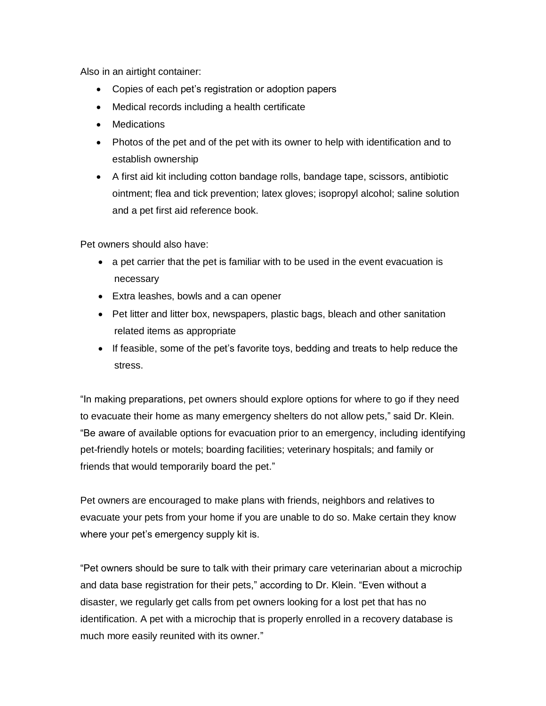Also in an airtight container:

- Copies of each pet's registration or adoption papers
- Medical records including a health certificate
- Medications
- Photos of the pet and of the pet with its owner to help with identification and to establish ownership
- A first aid kit including cotton bandage rolls, bandage tape, scissors, antibiotic ointment; flea and tick prevention; latex gloves; isopropyl alcohol; saline solution and a pet first aid reference book.

Pet owners should also have:

- a pet carrier that the pet is familiar with to be used in the event evacuation is necessary
- Extra leashes, bowls and a can opener
- Pet litter and litter box, newspapers, plastic bags, bleach and other sanitation related items as appropriate
- If feasible, some of the pet's favorite toys, bedding and treats to help reduce the stress.

"In making preparations, pet owners should explore options for where to go if they need to evacuate their home as many emergency shelters do not allow pets," said Dr. Klein. "Be aware of available options for evacuation prior to an emergency, including identifying pet-friendly hotels or motels; boarding facilities; veterinary hospitals; and family or friends that would temporarily board the pet."

Pet owners are encouraged to make plans with friends, neighbors and relatives to evacuate your pets from your home if you are unable to do so. Make certain they know where your pet's emergency supply kit is.

"Pet owners should be sure to talk with their primary care veterinarian about a microchip and data base registration for their pets," according to Dr. Klein. "Even without a disaster, we regularly get calls from pet owners looking for a lost pet that has no identification. A pet with a microchip that is properly enrolled in a recovery database is much more easily reunited with its owner."